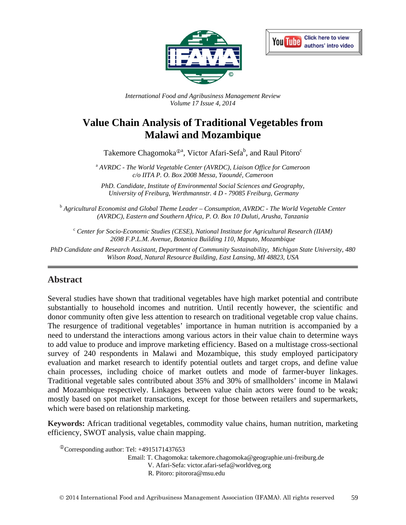



*International Food and Agribusiness Management Review Volume 17 Issue 4, 2014*

# **Value Chain Analysis of Traditional Vegetables from Malawi and Mozambique**

Takemore Chagomoka<sup> $\mathcal{D}^{\text{a}}$ , Victor Afari-Sefa $^{\text{b}}$ , and Raul Pitoro<sup>c</sup></sup>

<sup>a</sup> *AVRDC - The World Vegetable Center (AVRDC), Liaison Office for Cameroon c/o IITA P. O. Box 2008 Messa, Yaoundé, Cameroon*

*PhD. Candidate, Institute of Environmental Social Sciences and Geography, University of Freiburg, Werthmannstr. 4 D - 79085 Freiburg, Germany*

<sup>b</sup> *Agricultural Economist and Global Theme Leader – Consumption, AVRDC - The World Vegetable Center (AVRDC), Eastern and Southern Africa, P. O. Box 10 Duluti, Arusha, Tanzania*

<sup>c</sup> *Center for Socio-Economic Studies (CESE), National Institute for Agricultural Research (IIAM) 2698 F.P.L.M. Avenue, Botanica Building 110, Maputo, Mozambique*

*PhD Candidate and Research Assistant, Department of Community Sustainability, Michigan State University, 480 Wilson Road, Natural Resource Building, East Lansing, MI 48823, USA* 

## **Abstract**

Several studies have shown that traditional vegetables have high market potential and contribute substantially to household incomes and nutrition. Until recently however, the scientific and donor community often give less attention to research on traditional vegetable crop value chains. The resurgence of traditional vegetables' importance in human nutrition is accompanied by a need to understand the interactions among various actors in their value chain to determine ways to add value to produce and improve marketing efficiency. Based on a multistage cross-sectional survey of 240 respondents in Malawi and Mozambique, this study employed participatory evaluation and market research to identify potential outlets and target crops, and define value chain processes, including choice of market outlets and mode of farmer-buyer linkages. Traditional vegetable sales contributed about 35% and 30% of smallholders' income in Malawi and Mozambique respectively. Linkages between value chain actors were found to be weak; mostly based on spot market transactions, except for those between retailers and supermarkets, which were based on relationship marketing.

**Keywords:** African traditional vegetables, commodity value chains, human nutrition, marketing efficiency, SWOT analysis, value chain mapping.

Corresponding author: Tel: +4915171437653 Email: T. Chagomoka: takemore.chagomoka@geographie.uni-freiburg.de V. Afari-Sefa: victor.afari-sefa@worldveg.org R. Pitoro: pitorora@msu.edu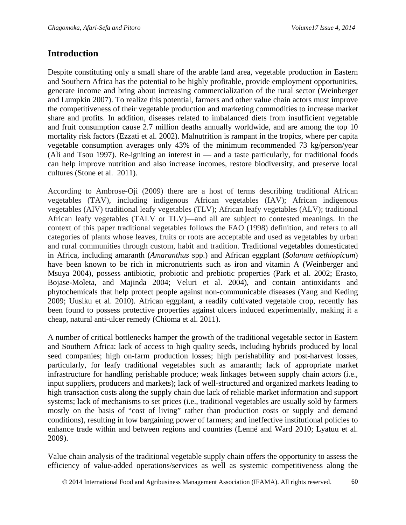## **Introduction**

Despite constituting only a small share of the arable land area, vegetable production in Eastern and Southern Africa has the potential to be highly profitable, provide employment opportunities, generate income and bring about increasing commercialization of the rural sector (Weinberger and Lumpkin 2007). To realize this potential, farmers and other value chain actors must improve the competitiveness of their vegetable production and marketing commodities to increase market share and profits. In addition, diseases related to imbalanced diets from insufficient vegetable and fruit consumption cause 2.7 million deaths annually worldwide, and are among the top 10 mortality risk factors (Ezzati et al. 2002). Malnutrition is rampant in the tropics, where per capita vegetable consumption averages only 43% of the minimum recommended 73 kg/person/year (Ali and Tsou 1997). Re-igniting an interest in  $-$  and a taste particularly, for traditional foods can help improve nutrition and also increase incomes, restore biodiversity, and preserve local cultures (Stone et al. 2011).

According to Ambrose-Oji (2009) there are a host of terms describing traditional African vegetables (TAV), including indigenous African vegetables (IAV); African indigenous vegetables (AIV) traditional leafy vegetables (TLV); African leafy vegetables (ALV); traditional African leafy vegetables (TALV or TLV)—and all are subject to contested meanings. In the context of this paper traditional vegetables follows the FAO (1998) definition, and refers to all categories of plants whose leaves, fruits or roots are acceptable and used as vegetables by urban and rural communities through custom, habit and tradition. Traditional vegetables domesticated in Africa, including amaranth (*Amaranthus* spp.) and African eggplant (*Solanum aethiopicum*) have been known to be rich in micronutrients such as iron and vitamin A (Weinberger and Msuya 2004), possess antibiotic, probiotic and prebiotic properties (Park et al. 2002; Erasto, Bojase-Moleta, and Majinda 2004; Veluri et al. 2004), and contain antioxidants and phytochemicals that help protect people against non-communicable diseases (Yang and Keding 2009; Uusiku et al. 2010). African eggplant, a readily cultivated vegetable crop, recently has been found to possess protective properties against ulcers induced experimentally, making it a cheap, natural anti-ulcer remedy (Chioma et al. 2011).

A number of critical bottlenecks hamper the growth of the traditional vegetable sector in Eastern and Southern Africa: lack of access to high quality seeds, including hybrids produced by local seed companies; high on-farm production losses; high perishability and post-harvest losses, particularly, for leafy traditional vegetables such as amaranth; lack of appropriate market infrastructure for handling perishable produce; weak linkages between supply chain actors (i.e., input suppliers, producers and markets); lack of well-structured and organized markets leading to high transaction costs along the supply chain due lack of reliable market information and support systems; lack of mechanisms to set prices (i.e., traditional vegetables are usually sold by farmers mostly on the basis of "cost of living" rather than production costs or supply and demand conditions), resulting in low bargaining power of farmers; and ineffective institutional policies to enhance trade within and between regions and countries (Lenné and Ward 2010; Lyatuu et al. 2009).

Value chain analysis of the traditional vegetable supply chain offers the opportunity to assess the efficiency of value-added operations/services as well as systemic competitiveness along the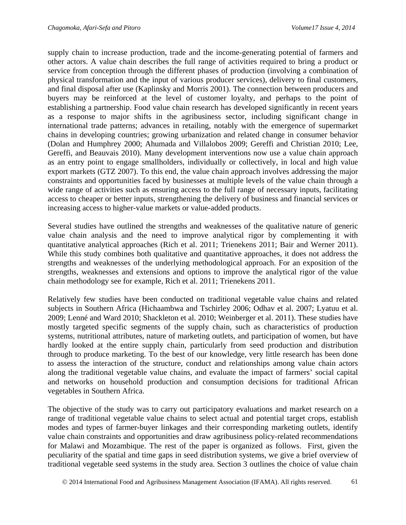supply chain to increase production, trade and the income-generating potential of farmers and other actors. A value chain describes the full range of activities required to bring a product or service from conception through the different phases of production (involving a combination of physical transformation and the input of various producer services), delivery to final customers, and final disposal after use (Kaplinsky and Morris 2001). The connection between producers and buyers may be reinforced at the level of customer loyalty, and perhaps to the point of establishing a partnership. Food value chain research has developed significantly in recent years as a response to major shifts in the agribusiness sector, including significant change in international trade patterns; advances in retailing, notably with the emergence of supermarket chains in developing countries; growing urbanization and related change in consumer behavior (Dolan and Humphrey 2000; Ahumada and Villalobos 2009; Gereffi and Christian 2010; Lee, Gereffi, and Beauvais 2010). Many development interventions now use a value chain approach as an entry point to engage smallholders, individually or collectively, in local and high value export markets (GTZ 2007). To this end, the value chain approach involves addressing the major constraints and opportunities faced by businesses at multiple levels of the value chain through a wide range of activities such as ensuring access to the full range of necessary inputs, facilitating access to cheaper or better inputs, strengthening the delivery of business and financial services or increasing access to higher-value markets or value-added products.

Several studies have outlined the strengths and weaknesses of the qualitative nature of generic value chain analysis and the need to improve analytical rigor by complementing it with quantitative analytical approaches (Rich et al. 2011; Trienekens 2011; Bair and Werner 2011). While this study combines both qualitative and quantitative approaches, it does not address the strengths and weaknesses of the underlying methodological approach. For an exposition of the strengths, weaknesses and extensions and options to improve the analytical rigor of the value chain methodology see for example, Rich et al. 2011; Trienekens 2011.

Relatively few studies have been conducted on traditional vegetable value chains and related subjects in Southern Africa (Hichaambwa and Tschirley 2006; Odhav et al. 2007; Lyatuu et al. 2009; Lenné and Ward 2010; Shackleton et al. 2010; Weinberger et al. 2011). These studies have mostly targeted specific segments of the supply chain, such as characteristics of production systems, nutritional attributes, nature of marketing outlets, and participation of women, but have hardly looked at the entire supply chain, particularly from seed production and distribution through to produce marketing. To the best of our knowledge, very little research has been done to assess the interaction of the structure, conduct and relationships among value chain actors along the traditional vegetable value chains, and evaluate the impact of farmers' social capital and networks on household production and consumption decisions for traditional African vegetables in Southern Africa.

The objective of the study was to carry out participatory evaluations and market research on a range of traditional vegetable value chains to select actual and potential target crops, establish modes and types of farmer-buyer linkages and their corresponding marketing outlets, identify value chain constraints and opportunities and draw agribusiness policy-related recommendations for Malawi and Mozambique. The rest of the paper is organized as follows. First, given the peculiarity of the spatial and time gaps in seed distribution systems, we give a brief overview of traditional vegetable seed systems in the study area. Section 3 outlines the choice of value chain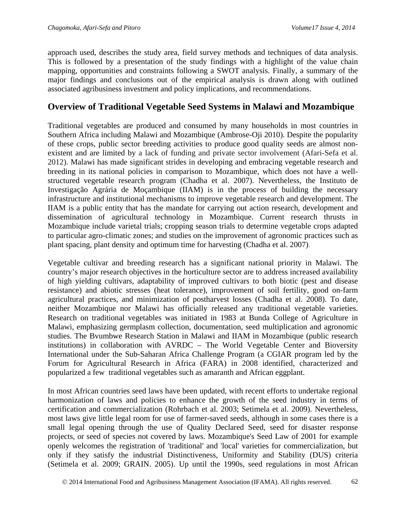approach used, describes the study area, field survey methods and techniques of data analysis. This is followed by a presentation of the study findings with a highlight of the value chain mapping, opportunities and constraints following a SWOT analysis. Finally, a summary of the major findings and conclusions out of the empirical analysis is drawn along with outlined associated agribusiness investment and policy implications, and recommendations.

## **Overview of Traditional Vegetable Seed Systems in Malawi and Mozambique**

Traditional vegetables are produced and consumed by many households in most countries in Southern Africa including Malawi and Mozambique (Ambrose-Oji 2010). Despite the popularity of these crops, public sector breeding activities to produce good quality seeds are almost nonexistent and are limited by a lack of funding and private sector involvement (Afari-Sefa et al. 2012). Malawi has made significant strides in developing and embracing vegetable research and breeding in its national policies in comparison to Mozambique, which does not have a wellstructured vegetable research program (Chadha et al. 2007). Nevertheless, the Instituto de Investigação Agrária de Moçambique (IIAM) is in the process of building the necessary infrastructure and institutional mechanisms to improve vegetable research and development. The IIAM is a public entity that has the mandate for carrying out action research, development and dissemination of agricultural technology in Mozambique. Current research thrusts in Mozambique include varietal trials; cropping season trials to determine vegetable crops adapted to particular agro-climatic zones; and studies on the improvement of agronomic practices such as plant spacing, plant density and optimum time for harvesting (Chadha et al. 2007).

Vegetable cultivar and breeding research has a significant national priority in Malawi. The country's major research objectives in the horticulture sector are to address increased availability of high yielding cultivars, adaptability of improved cultivars to both biotic (pest and disease resistance) and abiotic stresses (heat tolerance), improvement of soil fertility, good on-farm agricultural practices, and minimization of postharvest losses (Chadha et al. 2008). To date, neither Mozambique nor Malawi has officially released any traditional vegetable varieties. Research on traditional vegetables was initiated in 1983 at Bunda College of Agriculture in Malawi, emphasizing germplasm collection, documentation, seed multiplication and agronomic studies. The Bvumbwe Research Station in Malawi and IIAM in Mozambique (public research institutions) in collaboration with AVRDC – The World Vegetable Center and Bioversity International under the Sub-Saharan Africa Challenge Program (a CGIAR program led by the Forum for Agricultural Research in Africa (FARA) in 2008 identified, characterized and popularized a few traditional vegetables such as amaranth and African eggplant.

In most African countries seed laws have been updated, with recent efforts to undertake regional harmonization of laws and policies to enhance the growth of the seed industry in terms of certification and commercialization (Rohrbach et al. 2003; Setimela et al. 2009). Nevertheless, most laws give little legal room for use of farmer-saved seeds, although in some cases there is a small legal opening through the use of Quality Declared Seed, seed for disaster response projects, or seed of species not covered by laws. Mozambique's Seed Law of 2001 for example openly welcomes the registration of 'traditional' and 'local' varieties for commercialization, but only if they satisfy the industrial Distinctiveness, Uniformity and Stability (DUS) criteria (Setimela et al. 2009; GRAIN. 2005). Up until the 1990s, seed regulations in most African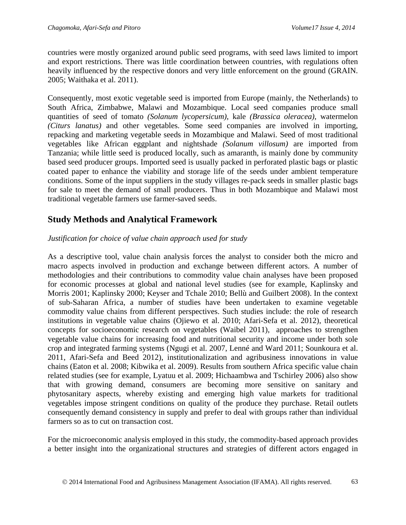countries were mostly organized around public seed programs, with seed laws limited to import and export restrictions. There was little coordination between countries, with regulations often heavily influenced by the respective donors and very little enforcement on the ground (GRAIN. 2005; Waithaka et al. 2011).

Consequently, most exotic vegetable seed is imported from Europe (mainly, the Netherlands) to South Africa, Zimbabwe, Malawi and Mozambique. Local seed companies produce small quantities of seed of tomato *(Solanum lycopersicum)*, kale *(Brassica oleracea)*, watermelon *(Citurs lanatus)* and other vegetables. Some seed companies are involved in importing, repacking and marketing vegetable seeds in Mozambique and Malawi. Seed of most traditional vegetables like African eggplant and nightshade *(Solanum villosum)* are imported from Tanzania; while little seed is produced locally, such as amaranth, is mainly done by community based seed producer groups. Imported seed is usually packed in perforated plastic bags or plastic coated paper to enhance the viability and storage life of the seeds under ambient temperature conditions. Some of the input suppliers in the study villages re-pack seeds in smaller plastic bags for sale to meet the demand of small producers. Thus in both Mozambique and Malawi most traditional vegetable farmers use farmer-saved seeds.

## **Study Methods and Analytical Framework**

## *Justification for choice of value chain approach used for study*

As a descriptive tool, value chain analysis forces the analyst to consider both the micro and macro aspects involved in production and exchange between different actors. A number of methodologies and their contributions to commodity value chain analyses have been proposed for economic processes at global and national level studies (see for example, Kaplinsky and Morris 2001; Kaplinsky 2000; Keyser and Tchale 2010; Bellù and Guilbert 2008). In the context of sub-Saharan Africa, a number of studies have been undertaken to examine vegetable commodity value chains from different perspectives. Such studies include: the role of research institutions in vegetable value chains (Ojiewo et al. 2010; Afari-Sefa et al. 2012), theoretical concepts for socioeconomic research on vegetables (Waibel 2011), approaches to strengthen vegetable value chains for increasing food and nutritional security and income under both sole crop and integrated farming systems (Ngugi et al. 2007, Lenné and Ward 2011; Sounkoura et al. 2011, Afari-Sefa and Beed 2012), institutionalization and agribusiness innovations in value chains (Eaton et al. 2008; Kibwika et al. 2009). Results from southern Africa specific value chain related studies (see for example, Lyatuu et al. 2009; Hichaambwa and Tschirley 2006) also show that with growing demand, consumers are becoming more sensitive on sanitary and phytosanitary aspects, whereby existing and emerging high value markets for traditional vegetables impose stringent conditions on quality of the produce they purchase. Retail outlets consequently demand consistency in supply and prefer to deal with groups rather than individual farmers so as to cut on transaction cost.

For the microeconomic analysis employed in this study, the commodity-based approach provides a better insight into the organizational structures and strategies of different actors engaged in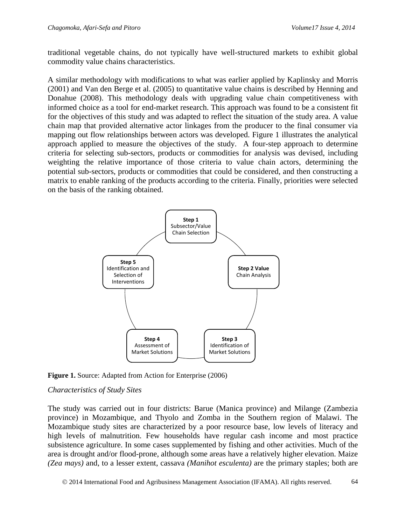traditional vegetable chains, do not typically have well-structured markets to exhibit global commodity value chains characteristics.

A similar methodology with modifications to what was earlier applied by Kaplinsky and Morris (2001) and Van den Berge et al. (2005) to quantitative value chains is described by Henning and Donahue (2008). This methodology deals with upgrading value chain competitiveness with informed choice as a tool for end-market research. This approach was found to be a consistent fit for the objectives of this study and was adapted to reflect the situation of the study area. A value chain map that provided alternative actor linkages from the producer to the final consumer via mapping out flow relationships between actors was developed. Figure 1 illustrates the analytical approach applied to measure the objectives of the study. A four-step approach to determine criteria for selecting sub-sectors, products or commodities for analysis was devised, including weighting the relative importance of those criteria to value chain actors, determining the potential sub-sectors, products or commodities that could be considered, and then constructing a matrix to enable ranking of the products according to the criteria. Finally, priorities were selected on the basis of the ranking obtained.



Figure 1. Source: Adapted from Action for Enterprise (2006)

#### *Characteristics of Study Sites*

The study was carried out in four districts: Barue (Manica province) and Milange (Zambezia province) in Mozambique, and Thyolo and Zomba in the Southern region of Malawi. The Mozambique study sites are characterized by a poor resource base, low levels of literacy and high levels of malnutrition. Few households have regular cash income and most practice subsistence agriculture. In some cases supplemented by fishing and other activities. Much of the area is drought and/or flood-prone, although some areas have a relatively higher elevation. Maize *(Zea mays)* and, to a lesser extent, cassava *(Manihot esculenta)* are the primary staples; both are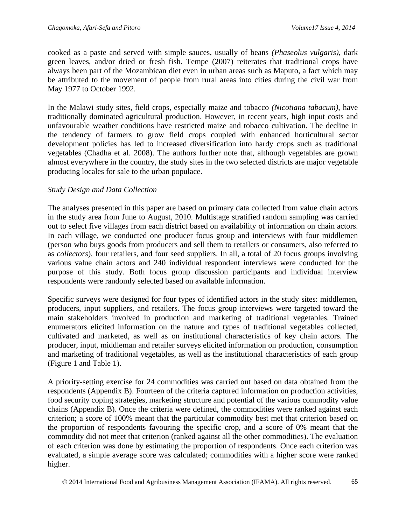cooked as a paste and served with simple sauces, usually of beans *(Phaseolus vulgaris)*, dark green leaves, and/or dried or fresh fish. Tempe (2007) reiterates that traditional crops have always been part of the Mozambican diet even in urban areas such as Maputo, a fact which may be attributed to the movement of people from rural areas into cities during the civil war from May 1977 to October 1992.

In the Malawi study sites, field crops, especially maize and tobacco *(Nicotiana tabacum)*, have traditionally dominated agricultural production. However, in recent years, high input costs and unfavourable weather conditions have restricted maize and tobacco cultivation. The decline in the tendency of farmers to grow field crops coupled with enhanced horticultural sector development policies has led to increased diversification into hardy crops such as traditional vegetables (Chadha et al. 2008). The authors further note that, although vegetables are grown almost everywhere in the country, the study sites in the two selected districts are major vegetable producing locales for sale to the urban populace.

#### *Study Design and Data Collection*

The analyses presented in this paper are based on primary data collected from value chain actors in the study area from June to August, 2010. Multistage stratified random sampling was carried out to select five villages from each district based on availability of information on chain actors. In each village, we conducted one producer focus group and interviews with four middlemen (person who buys goods from producers and sell them to retailers or consumers, also referred to as *collectors*), four retailers, and four seed suppliers. In all, a total of 20 focus groups involving various value chain actors and 240 individual respondent interviews were conducted for the purpose of this study. Both focus group discussion participants and individual interview respondents were randomly selected based on available information.

Specific surveys were designed for four types of identified actors in the study sites: middlemen, producers, input suppliers, and retailers. The focus group interviews were targeted toward the main stakeholders involved in production and marketing of traditional vegetables. Trained enumerators elicited information on the nature and types of traditional vegetables collected, cultivated and marketed, as well as on institutional characteristics of key chain actors. The producer, input, middleman and retailer surveys elicited information on production, consumption and marketing of traditional vegetables, as well as the institutional characteristics of each group (Figure 1 and Table 1).

A priority-setting exercise for 24 commodities was carried out based on data obtained from the respondents (Appendix B). Fourteen of the criteria captured information on production activities, food security coping strategies, marketing structure and potential of the various commodity value chains (Appendix B). Once the criteria were defined, the commodities were ranked against each criterion; a score of 100% meant that the particular commodity best met that criterion based on the proportion of respondents favouring the specific crop, and a score of 0% meant that the commodity did not meet that criterion (ranked against all the other commodities). The evaluation of each criterion was done by estimating the proportion of respondents. Once each criterion was evaluated, a simple average score was calculated; commodities with a higher score were ranked higher.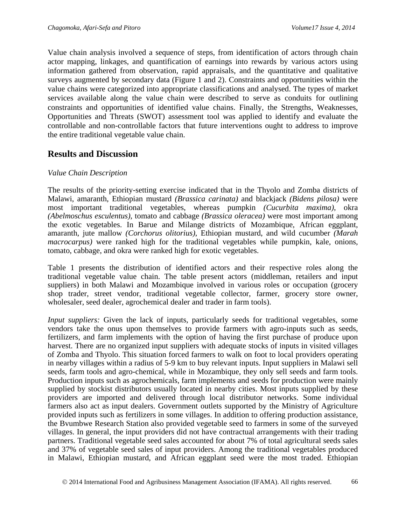Value chain analysis involved a sequence of steps, from identification of actors through chain actor mapping, linkages, and quantification of earnings into rewards by various actors using information gathered from observation, rapid appraisals, and the quantitative and qualitative surveys augmented by secondary data (Figure 1 and 2). Constraints and opportunities within the value chains were categorized into appropriate classifications and analysed. The types of market services available along the value chain were described to serve as conduits for outlining constraints and opportunities of identified value chains. Finally, the Strengths, Weaknesses, Opportunities and Threats (SWOT) assessment tool was applied to identify and evaluate the controllable and non-controllable factors that future interventions ought to address to improve the entire traditional vegetable value chain.

## **Results and Discussion**

#### *Value Chain Description*

The results of the priority-setting exercise indicated that in the Thyolo and Zomba districts of Malawi, amaranth, Ethiopian mustard *(Brassica carinata)* and blackjack *(Bidens pilosa)* were most important traditional vegetables, whereas pumpkin *(Cucurbita maxima)*, okra *(Abelmoschus esculentus)*, tomato and cabbage *(Brassica oleracea)* were most important among the exotic vegetables. In Barue and Milange districts of Mozambique, African eggplant, amaranth, jute mallow *(Corchorus olitorius)*, Ethiopian mustard, and wild cucumber *(Marah macrocarpus)* were ranked high for the traditional vegetables while pumpkin, kale, onions, tomato, cabbage, and okra were ranked high for exotic vegetables.

Table 1 presents the distribution of identified actors and their respective roles along the traditional vegetable value chain. The table present actors (middleman, retailers and input suppliers) in both Malawi and Mozambique involved in various roles or occupation (grocery shop trader, street vendor, traditional vegetable collector, farmer, grocery store owner, wholesaler, seed dealer, agrochemical dealer and trader in farm tools).

*Input suppliers:* Given the lack of inputs, particularly seeds for traditional vegetables, some vendors take the onus upon themselves to provide farmers with agro-inputs such as seeds, fertilizers, and farm implements with the option of having the first purchase of produce upon harvest. There are no organized input suppliers with adequate stocks of inputs in visited villages of Zomba and Thyolo. This situation forced farmers to walk on foot to local providers operating in nearby villages within a radius of 5-9 km to buy relevant inputs. Input suppliers in Malawi sell seeds, farm tools and agro-chemical, while in Mozambique, they only sell seeds and farm tools. Production inputs such as agrochemicals, farm implements and seeds for production were mainly supplied by stockist distributors usually located in nearby cities. Most inputs supplied by these providers are imported and delivered through local distributor networks. Some individual farmers also act as input dealers. Government outlets supported by the Ministry of Agriculture provided inputs such as fertilizers in some villages. In addition to offering production assistance, the Bvumbwe Research Station also provided vegetable seed to farmers in some of the surveyed villages. In general, the input providers did not have contractual arrangements with their trading partners. Traditional vegetable seed sales accounted for about 7% of total agricultural seeds sales and 37% of vegetable seed sales of input providers. Among the traditional vegetables produced in Malawi, Ethiopian mustard, and African eggplant seed were the most traded. Ethiopian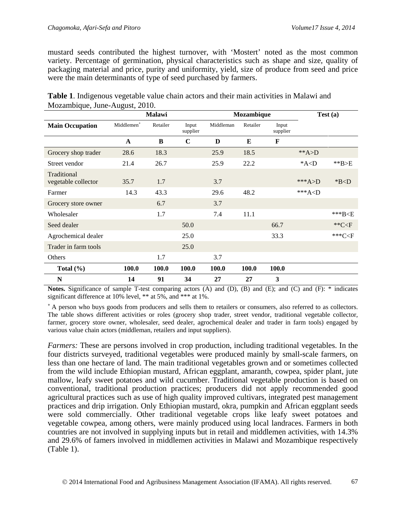mustard seeds contributed the highest turnover, with 'Mostert' noted as the most common variety. Percentage of germination, physical characteristics such as shape and size, quality of packaging material and price, purity and uniformity, yield, size of produce from seed and price were the main determinants of type of seed purchased by farmers.

|                                    | Malawi                 |          |                   |           | Mozambique | Test(a)           |                   |             |
|------------------------------------|------------------------|----------|-------------------|-----------|------------|-------------------|-------------------|-------------|
| <b>Main Occupation</b>             | Middlemen <sup>+</sup> | Retailer | Input<br>supplier | Middleman | Retailer   | Input<br>supplier |                   |             |
|                                    | A                      | B        | $\mathbf C$       | D         | E          | F                 |                   |             |
| Grocery shop trader                | 28.6                   | 18.3     |                   | 25.9      | 18.5       |                   | ** $A>D$          |             |
| Street vendor                      | 21.4                   | 26.7     |                   | 25.9      | 22.2       |                   | $*A<\overline{D}$ | $*$ $B>E$   |
| Traditional<br>vegetable collector | 35.7                   | 1.7      |                   | 3.7       |            |                   | *** $A>$ D        | $*BCD$      |
| Farmer                             | 14.3                   | 43.3     |                   | 29.6      | 48.2       |                   | *** $A < D$       |             |
| Grocery store owner                |                        | 6.7      |                   | 3.7       |            |                   |                   |             |
| Wholesaler                         |                        | 1.7      |                   | 7.4       | 11.1       |                   |                   | *** $B< E$  |
| Seed dealer                        |                        |          | 50.0              |           |            | 66.7              |                   | ** $C < F$  |
| Agrochemical dealer                |                        |          | 25.0              |           |            | 33.3              |                   | *** $C < F$ |
| Trader in farm tools               |                        |          | 25.0              |           |            |                   |                   |             |
| Others                             |                        | 1.7      |                   | 3.7       |            |                   |                   |             |
| Total $(\% )$                      | 100.0                  | 100.0    | 100.0             | 100.0     | 100.0      | 100.0             |                   |             |
| N                                  | 14                     | 91       | 34                | 27        | 27         | 3                 |                   |             |

| <b>Table 1.</b> Indigenous vegetable value chain actors and their main activities in Malawi and |  |
|-------------------------------------------------------------------------------------------------|--|
| Mozambique, June-August, 2010.                                                                  |  |

**Notes.** Significance of sample T-test comparing actors (A) and (D), (B) and (E); and (C) and (F): \* indicates significant difference at 10% level, \*\* at 5%, and \*\*\* at 1%.

**<sup>+</sup>**A person who buys goods from producers and sells them to retailers or consumers, also referred to as collectors. The table shows different activities or roles (grocery shop trader, street vendor, traditional vegetable collector, farmer, grocery store owner, wholesaler, seed dealer, agrochemical dealer and trader in farm tools) engaged by various value chain actors (middleman, retailers and input suppliers).

*Farmers:* These are persons involved in crop production, including traditional vegetables. In the four districts surveyed, traditional vegetables were produced mainly by small-scale farmers, on less than one hectare of land. The main traditional vegetables grown and or sometimes collected from the wild include Ethiopian mustard, African eggplant, amaranth, cowpea, spider plant, jute mallow, leafy sweet potatoes and wild cucumber. Traditional vegetable production is based on conventional, traditional production practices; producers did not apply recommended good agricultural practices such as use of high quality improved cultivars, integrated pest management practices and drip irrigation. Only Ethiopian mustard, okra, pumpkin and African eggplant seeds were sold commercially. Other traditional vegetable crops like leafy sweet potatoes and vegetable cowpea, among others, were mainly produced using local landraces. Farmers in both countries are not involved in supplying inputs but in retail and middlemen activities, with 14.3% and 29.6% of famers involved in middlemen activities in Malawi and Mozambique respectively (Table 1).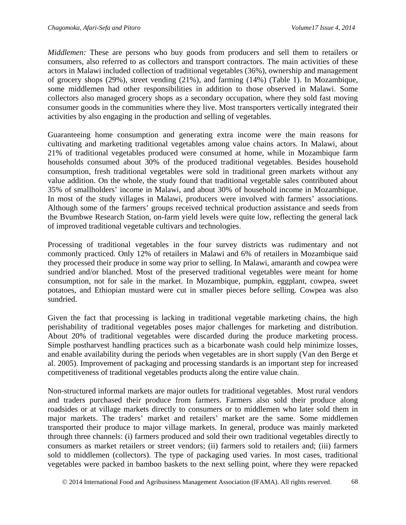*Middlemen:* These are persons who buy goods from producers and sell them to retailers or consumers, also referred to as collectors and transport contractors. The main activities of these actors in Malawi included collection of traditional vegetables (36%), ownership and management of grocery shops (29%), street vending (21%), and farming (14%) (Table 1). In Mozambique, some middlemen had other responsibilities in addition to those observed in Malawi. Some collectors also managed grocery shops as a secondary occupation, where they sold fast moving consumer goods in the communities where they live. Most transporters vertically integrated their activities by also engaging in the production and selling of vegetables.

Guaranteeing home consumption and generating extra income were the main reasons for cultivating and marketing traditional vegetables among value chains actors. In Malawi, about 21% of traditional vegetables produced were consumed at home, while in Mozambique farm households consumed about 30% of the produced traditional vegetables. Besides household consumption, fresh traditional vegetables were sold in traditional green markets without any value addition. On the whole, the study found that traditional vegetable sales contributed about 35% of smallholders' income in Malawi, and about 30% of household income in Mozambique. In most of the study villages in Malawi, producers were involved with farmers' associations. Although some of the farmers' groups received technical production assistance and seeds from the Bvumbwe Research Station, on-farm yield levels were quite low, reflecting the general lack of improved traditional vegetable cultivars and technologies.

Processing of traditional vegetables in the four survey districts was rudimentary and not commonly practiced. Only 12% of retailers in Malawi and 6% of retailers in Mozambique said they processed their produce in some way prior to selling. In Malawi, amaranth and cowpea were sundried and/or blanched. Most of the preserved traditional vegetables were meant for home consumption, not for sale in the market. In Mozambique, pumpkin, eggplant, cowpea, sweet potatoes, and Ethiopian mustard were cut in smaller pieces before selling. Cowpea was also sundried.

Given the fact that processing is lacking in traditional vegetable marketing chains, the high perishability of traditional vegetables poses major challenges for marketing and distribution. About 20% of traditional vegetables were discarded during the produce marketing process. Simple postharvest handling practices such as a bicarbonate wash could help minimize losses, and enable availability during the periods when vegetables are in short supply (Van den Berge et al. 2005). Improvement of packaging and processing standards is an important step for increased competitiveness of traditional vegetables products along the entire value chain.

Non-structured informal markets are major outlets for traditional vegetables. Most rural vendors and traders purchased their produce from farmers. Farmers also sold their produce along roadsides or at village markets directly to consumers or to middlemen who later sold them in major markets. The traders' market and retailers' market are the same. Some middlemen transported their produce to major village markets. In general, produce was mainly marketed through three channels: (i) farmers produced and sold their own traditional vegetables directly to consumers as market retailers or street vendors; (ii) farmers sold to retailers and; (iii) farmers sold to middlemen (collectors). The type of packaging used varies. In most cases, traditional vegetables were packed in bamboo baskets to the next selling point, where they were repacked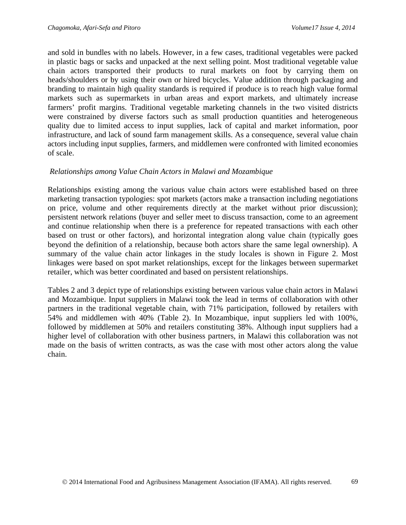and sold in bundles with no labels. However, in a few cases, traditional vegetables were packed in plastic bags or sacks and unpacked at the next selling point. Most traditional vegetable value chain actors transported their products to rural markets on foot by carrying them on heads/shoulders or by using their own or hired bicycles. Value addition through packaging and branding to maintain high quality standards is required if produce is to reach high value formal markets such as supermarkets in urban areas and export markets, and ultimately increase farmers' profit margins. Traditional vegetable marketing channels in the two visited districts were constrained by diverse factors such as small production quantities and heterogeneous quality due to limited access to input supplies, lack of capital and market information, poor infrastructure, and lack of sound farm management skills. As a consequence, several value chain actors including input supplies, farmers, and middlemen were confronted with limited economies of scale.

#### *Relationships among Value Chain Actors in Malawi and Mozambique*

Relationships existing among the various value chain actors were established based on three marketing transaction typologies: spot markets (actors make a transaction including negotiations on price, volume and other requirements directly at the market without prior discussion); persistent network relations (buyer and seller meet to discuss transaction, come to an agreement and continue relationship when there is a preference for repeated transactions with each other based on trust or other factors), and horizontal integration along value chain (typically goes beyond the definition of a relationship, because both actors share the same legal ownership). A summary of the value chain actor linkages in the study locales is shown in Figure 2. Most linkages were based on spot market relationships, except for the linkages between supermarket retailer, which was better coordinated and based on persistent relationships.

Tables 2 and 3 depict type of relationships existing between various value chain actors in Malawi and Mozambique. Input suppliers in Malawi took the lead in terms of collaboration with other partners in the traditional vegetable chain, with 71% participation, followed by retailers with 54% and middlemen with 40% (Table 2). In Mozambique, input suppliers led with 100%, followed by middlemen at 50% and retailers constituting 38%. Although input suppliers had a higher level of collaboration with other business partners, in Malawi this collaboration was not made on the basis of written contracts, as was the case with most other actors along the value chain.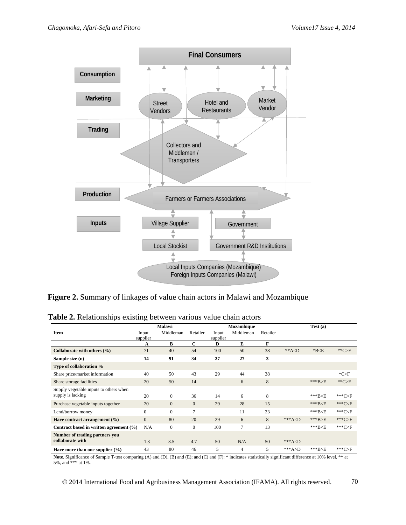

**Figure 2.** Summary of linkages of value chain actors in Malawi and Mozambique

|  | Table 2. Relationships existing between various value chain actors |  |  |
|--|--------------------------------------------------------------------|--|--|
|  |                                                                    |  |  |

|                                         | <b>Malawi</b> |              |                |               | Mozambique |          |            | Test(a)    |             |  |
|-----------------------------------------|---------------|--------------|----------------|---------------|------------|----------|------------|------------|-------------|--|
| <b>Item</b>                             | Input         | Middleman    | Retailer       | Input         | Middleman  | Retailer |            |            |             |  |
|                                         | supplier<br>А | B            | $\mathbf C$    | supplier<br>D | E          | F        |            |            |             |  |
| Collaborate with others $(\% )$         | 71            | 40           | 54             | 100           | 50         | 38       | $* A < D$  | $*B< E$    | $*$ $C>F$   |  |
| Sample size (n)                         | 14            | 91           | 34             | 27            | 27         | 3        |            |            |             |  |
| Type of collaboration %                 |               |              |                |               |            |          |            |            |             |  |
| Share price/market information          | 40            | 50           | 43             | 29            | 44         | 38       |            |            | $^*C>F$     |  |
| Share storage facilities                | 20            | 50           | 14             |               | 6          | 8        |            | ***B>E     | $*$ $C>F$   |  |
| Supply vegetable inputs to others when  |               |              |                |               |            |          |            |            |             |  |
| supply is lacking                       | 20            | $\Omega$     | 36             | 14            | 6          | 8        |            | $***B < E$ | *** $C>F$   |  |
| Purchase vegetable inputs together      | 20            | $\mathbf{0}$ | $\overline{0}$ | 29            | 28         | 15       |            | $***B < E$ | *** $C < F$ |  |
| Lend/borrow money                       | $\Omega$      | $\Omega$     | 7              |               | 11         | 23       |            | $***B < E$ | $***C < F$  |  |
| Have contract arrangement $(\% )$       | $\mathbf{0}$  | 80           | 20             | 29            | 6          | 8        | *** $A< D$ | ***B>E     | *** $C>F$   |  |
| Contract based in written agreement (%) | N/A           | $\mathbf{0}$ | $\overline{0}$ | 100           | 7          | 13       |            | $***B< E$  | *** $C < F$ |  |
| Number of trading partners you          |               |              |                |               |            |          |            |            |             |  |
| collaborate with                        | 1.3           | 3.5          | 4.7            | 50            | N/A        | 50       | *** $A< D$ |            |             |  |
| Have more than one supplier $(\% )$     | 43            | 80           | 46             | 5             | 4          | 5        | $***A>D$   | $***B>E$   | *** $C>F$   |  |

**Note.** Significance of Sample T-test comparing (A) and (D), (B) and (E); and (C) and (F): \* indicates statistically significant difference at 10% level, \*\* at 5%, and \*\*\* at 1%.

© 2014 International Food and Agribusiness Management Association (IFAMA). All rights reserved. 70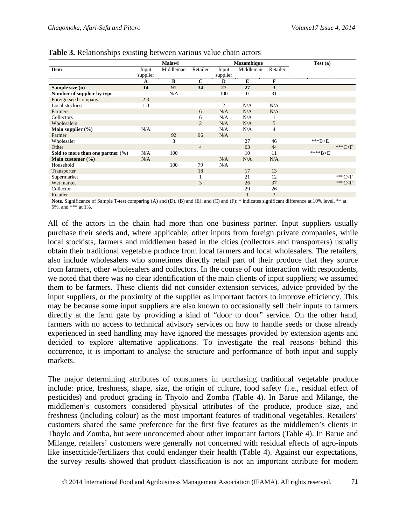|                                       |          | Malawi    |                |                | Mozambique   |                | Test(a)   |                      |
|---------------------------------------|----------|-----------|----------------|----------------|--------------|----------------|-----------|----------------------|
| <b>Item</b>                           | Input    | Middleman | Retailer       | Input          | Middleman    | Retailer       |           |                      |
|                                       | supplier |           |                | supplier       |              |                |           |                      |
|                                       | A        | B         | $\mathbf C$    | D              | E            | F              |           |                      |
| Sample size (n)                       | 14       | 91        | 34             | 27             | 27           | 3              |           |                      |
| Number of supplier by type            |          | N/A       |                | 100            | $\mathbf{0}$ | 31             |           |                      |
| Foreign seed company                  | 2.3      |           |                |                |              |                |           |                      |
| Local stockiest                       | 1.0      |           |                | $\overline{2}$ | N/A          | N/A            |           |                      |
| Farmers                               |          |           | 6              | N/A            | N/A          | N/A            |           |                      |
| Collectors                            |          |           | 6              | N/A            | N/A          |                |           |                      |
| Wholesalers                           |          |           | 2              | N/A            | N/A          | 5              |           |                      |
| Main supplier $(\% )$                 | N/A      |           |                | N/A            | N/A          | $\overline{4}$ |           |                      |
| Farmer                                |          | 92        | 96             | N/A            |              |                |           |                      |
| Wholesaler                            |          | 8         |                |                | 27           | 46             | $***B< E$ |                      |
| Other                                 |          |           | $\overline{4}$ |                | 63           | 44             |           | *** $C < F$          |
| Sold to more than one partner $(\% )$ | N/A      | 100       |                |                | 10           | 11             | ****B>E   |                      |
| Main customer $(\% )$                 | N/A      |           |                | N/A            | N/A          | N/A            |           |                      |
| Household                             |          | 100       | 79             | N/A            |              |                |           |                      |
| Transporter                           |          |           | 18             |                | 17           | 13             |           |                      |
| Supermarket                           |          |           |                |                | 21           | 12             |           | ***C <f< td=""></f<> |
| Wet market                            |          |           | 3              |                | 26           | 37             |           | *** $C < F$          |
| Collector                             |          |           |                |                | 29           | 26             |           |                      |
| Retailer                              |          |           |                |                |              | 3              |           |                      |

**Table 3.** Relationships existing between various value chain actors

**Note.** Significance of Sample T-test comparing (A) and (D), (B) and (E); and (C) and (F): \* indicates significant difference at 10% level, \*\* at 5%, and \*\*\* at 1%.

All of the actors in the chain had more than one business partner. Input suppliers usually purchase their seeds and, where applicable, other inputs from foreign private companies, while local stockists, farmers and middlemen based in the cities (collectors and transporters) usually obtain their traditional vegetable produce from local farmers and local wholesalers. The retailers, also include wholesalers who sometimes directly retail part of their produce that they source from farmers, other wholesalers and collectors. In the course of our interaction with respondents, we noted that there was no clear identification of the main clients of input suppliers; we assumed them to be farmers. These clients did not consider extension services, advice provided by the input suppliers, or the proximity of the supplier as important factors to improve efficiency. This may be because some input suppliers are also known to occasionally sell their inputs to farmers directly at the farm gate by providing a kind of "door to door" service. On the other hand, farmers with no access to technical advisory services on how to handle seeds or those already experienced in seed handling may have ignored the messages provided by extension agents and decided to explore alternative applications. To investigate the real reasons behind this occurrence, it is important to analyse the structure and performance of both input and supply markets.

The major determining attributes of consumers in purchasing traditional vegetable produce include: price, freshness, shape, size, the origin of culture, food safety (i.e., residual effect of pesticides) and product grading in Thyolo and Zomba (Table 4). In Barue and Milange, the middlemen's customers considered physical attributes of the produce, produce size, and freshness (including colour) as the most important features of traditional vegetables. Retailers' customers shared the same preference for the first five features as the middlemen's clients in Thoylo and Zomba, but were unconcerned about other important factors (Table 4). In Barue and Milange, retailers' customers were generally not concerned with residual effects of agro-inputs like insecticide/fertilizers that could endanger their health (Table 4). Against our expectations, the survey results showed that product classification is not an important attribute for modern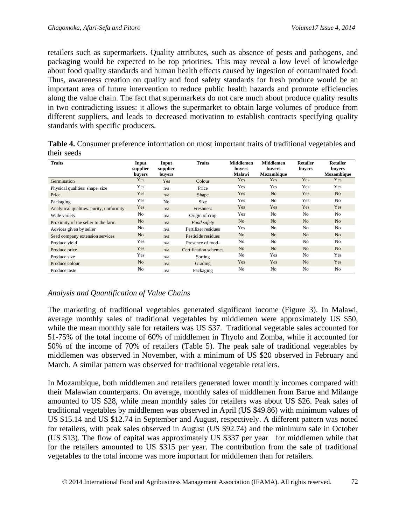retailers such as supermarkets. Quality attributes, such as absence of pests and pathogens, and packaging would be expected to be top priorities. This may reveal a low level of knowledge about food quality standards and human health effects caused by ingestion of contaminated food. Thus, awareness creation on quality and food safety standards for fresh produce would be an important area of future intervention to reduce public health hazards and promote efficiencies along the value chain. The fact that supermarkets do not care much about produce quality results in two contradicting issues: it allows the supermarket to obtain large volumes of produce from different suppliers, and leads to decreased motivation to establish contracts specifying quality standards with specific producers.

| Table 4. Consumer preference information on most important traits of traditional vegetables and |  |  |
|-------------------------------------------------------------------------------------------------|--|--|
| their seeds                                                                                     |  |  |

| <b>Traits</b>                            | Input<br>supplier<br>buvers | Input<br>supplier<br>buvers | <b>Traits</b>         | <b>Middlemen</b><br>buyers<br>Malawi | <b>Middlemen</b><br>buvers<br>Mozambique | <b>Retailer</b><br>buyers | <b>Retailer</b><br>buvers<br><b>Mozambique</b> |
|------------------------------------------|-----------------------------|-----------------------------|-----------------------|--------------------------------------|------------------------------------------|---------------------------|------------------------------------------------|
| Germination                              | Yes                         | Yes                         | Colour                | Yes                                  | <b>Yes</b>                               | Yes                       | Yes                                            |
| Physical qualities: shape, size          | Yes                         | n/a                         | Price                 | Yes                                  | Yes                                      | Yes                       | Yes                                            |
| Price                                    | Yes                         | n/a                         | Shape                 | Yes                                  | N <sub>o</sub>                           | Yes                       | N <sub>o</sub>                                 |
| Packaging                                | Yes                         | N <sub>o</sub>              | <b>Size</b>           | Yes                                  | N <sub>o</sub>                           | Yes                       | N <sub>0</sub>                                 |
| Analytical qualities: purity, uniformity | Yes                         | n/a                         | Freshness             | Yes                                  | Yes                                      | Yes                       | Yes                                            |
| Wide variety                             | No                          | n/a                         | Origin of crop        | Yes                                  | N <sub>o</sub>                           | N <sub>o</sub>            | No.                                            |
| Proximity of the seller to the farm      | No                          | n/a                         | Food safety           | N <sub>o</sub>                       | N <sub>o</sub>                           | N <sub>o</sub>            | N <sub>o</sub>                                 |
| Advices given by seller                  | No                          | n/a                         | Fertilizer residues   | Yes                                  | N <sub>o</sub>                           | N <sub>o</sub>            | N <sub>0</sub>                                 |
| Seed company extension services          | No                          | n/a                         | Pesticide residues    | N <sub>o</sub>                       | N <sub>o</sub>                           | N <sub>o</sub>            | N <sub>o</sub>                                 |
| Produce vield                            | Yes                         | n/a                         | Presence of food-     | No                                   | N <sub>o</sub>                           | N <sub>o</sub>            | N <sub>0</sub>                                 |
| Produce price                            | Yes                         | n/a                         | Certification schemes | N <sub>o</sub>                       | N <sub>o</sub>                           | N <sub>o</sub>            | N <sub>o</sub>                                 |
| Produce size                             | Yes                         | n/a                         | Sorting               | No                                   | Yes                                      | N <sub>o</sub>            | Yes                                            |
| Produce colour                           | N <sub>o</sub>              | n/a                         | Grading               | Yes                                  | Yes                                      | N <sub>o</sub>            | Yes                                            |
| Produce taste                            | No                          | n/a                         | Packaging             | No                                   | N <sub>o</sub>                           | N <sub>o</sub>            | No.                                            |

#### *Analysis and Quantification of Value Chains*

The marketing of traditional vegetables generated significant income (Figure 3). In Malawi, average monthly sales of traditional vegetables by middlemen were approximately US \$50, while the mean monthly sale for retailers was US \$37. Traditional vegetable sales accounted for 51-75% of the total income of 60% of middlemen in Thyolo and Zomba, while it accounted for 50% of the income of 70% of retailers (Table 5). The peak sale of traditional vegetables by middlemen was observed in November, with a minimum of US \$20 observed in February and March. A similar pattern was observed for traditional vegetable retailers.

In Mozambique, both middlemen and retailers generated lower monthly incomes compared with their Malawian counterparts. On average, monthly sales of middlemen from Barue and Milange amounted to US \$28, while mean monthly sales for retailers was about US \$26. Peak sales of traditional vegetables by middlemen was observed in April (US \$49.86) with minimum values of US \$15.14 and US \$12.74 in September and August, respectively. A different pattern was noted for retailers, with peak sales observed in August (US \$92.74) and the minimum sale in October (US \$13). The flow of capital was approximately US \$337 per year for middlemen while that for the retailers amounted to US \$315 per year. The contribution from the sale of traditional vegetables to the total income was more important for middlemen than for retailers.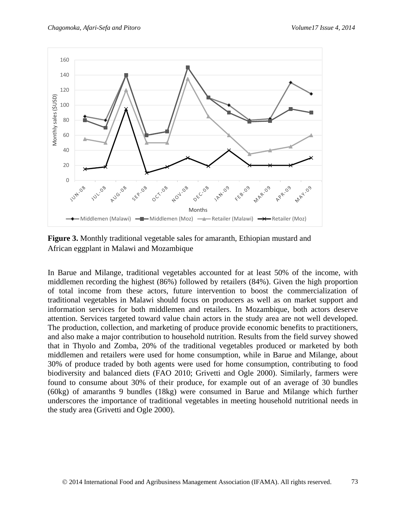

**Figure 3.** Monthly traditional vegetable sales for amaranth, Ethiopian mustard and African eggplant in Malawi and Mozambique

In Barue and Milange, traditional vegetables accounted for at least 50% of the income, with middlemen recording the highest (86%) followed by retailers (84%). Given the high proportion of total income from these actors, future intervention to boost the commercialization of traditional vegetables in Malawi should focus on producers as well as on market support and information services for both middlemen and retailers. In Mozambique, both actors deserve attention. Services targeted toward value chain actors in the study area are not well developed. The production, collection, and marketing of produce provide economic benefits to practitioners, and also make a major contribution to household nutrition. Results from the field survey showed that in Thyolo and Zomba, 20% of the traditional vegetables produced or marketed by both middlemen and retailers were used for home consumption, while in Barue and Milange, about 30% of produce traded by both agents were used for home consumption, contributing to food biodiversity and balanced diets (FAO 2010; Grivetti and Ogle 2000). Similarly, farmers were found to consume about 30% of their produce, for example out of an average of 30 bundles (60kg) of amaranths 9 bundles (18kg) were consumed in Barue and Milange which further underscores the importance of traditional vegetables in meeting household nutritional needs in the study area (Grivetti and Ogle 2000).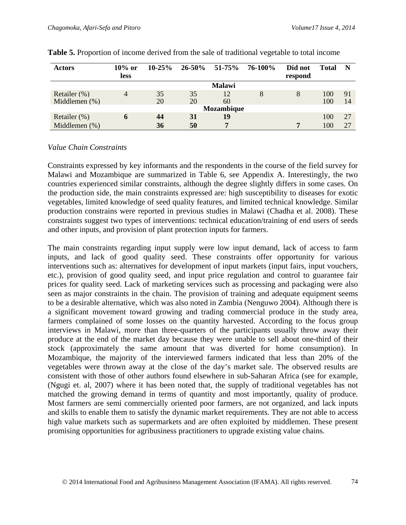| <b>Actors</b>                    | $10\%$ or<br><b>less</b> | $10-25%$ |          | $26 - 50\%$ 51-75% | 76-100% | Did not<br>respond | <b>Total</b> | N        |
|----------------------------------|--------------------------|----------|----------|--------------------|---------|--------------------|--------------|----------|
|                                  |                          |          |          | <b>Malawi</b>      |         |                    |              |          |
| Retailer (%)<br>Middlemen $(\%)$ | 4                        | 35<br>20 | 35<br>20 | 12<br>60           | 8       | 8                  | 100<br>100   | 91<br>14 |
|                                  |                          |          |          | Mozambique         |         |                    |              |          |
| Retailer $(\%)$                  | O                        | 44       | 31       | 19                 |         |                    | 100          | 27       |
| Middlemen $(\%)$                 |                          | 36       | 50       |                    |         | 7                  | 100          | 27       |

#### *Value Chain Constraints*

Constraints expressed by key informants and the respondents in the course of the field survey for Malawi and Mozambique are summarized in Table 6, see Appendix A. Interestingly, the two countries experienced similar constraints, although the degree slightly differs in some cases. On the production side, the main constraints expressed are: high susceptibility to diseases for exotic vegetables, limited knowledge of seed quality features, and limited technical knowledge. Similar production constrains were reported in previous studies in Malawi (Chadha et al. 2008). These constraints suggest two types of interventions: technical education/training of end users of seeds and other inputs, and provision of plant protection inputs for farmers.

The main constraints regarding input supply were low input demand, lack of access to farm inputs, and lack of good quality seed. These constraints offer opportunity for various interventions such as: alternatives for development of input markets (input fairs, input vouchers, etc.), provision of good quality seed, and input price regulation and control to guarantee fair prices for quality seed. Lack of marketing services such as processing and packaging were also seen as major constraints in the chain. The provision of training and adequate equipment seems to be a desirable alternative, which was also noted in Zambia (Nenguwo 2004). Although there is a significant movement toward growing and trading commercial produce in the study area, farmers complained of some losses on the quantity harvested. According to the focus group interviews in Malawi, more than three-quarters of the participants usually throw away their produce at the end of the market day because they were unable to sell about one-third of their stock (approximately the same amount that was diverted for home consumption). In Mozambique, the majority of the interviewed farmers indicated that less than 20% of the vegetables were thrown away at the close of the day's market sale. The observed results are consistent with those of other authors found elsewhere in sub-Saharan Africa (see for example, (Ngugi et. al, 2007) where it has been noted that, the supply of traditional vegetables has not matched the growing demand in terms of quantity and most importantly, quality of produce. Most farmers are semi commercially oriented poor farmers, are not organized, and lack inputs and skills to enable them to satisfy the dynamic market requirements. They are not able to access high value markets such as supermarkets and are often exploited by middlemen. These present promising opportunities for agribusiness practitioners to upgrade existing value chains.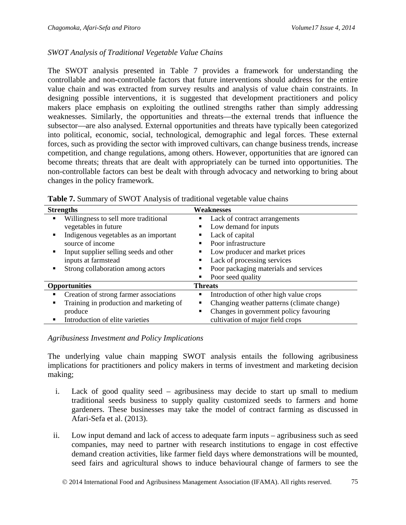#### *SWOT Analysis of Traditional Vegetable Value Chains*

The SWOT analysis presented in Table 7 provides a framework for understanding the controllable and non-controllable factors that future interventions should address for the entire value chain and was extracted from survey results and analysis of value chain constraints. In designing possible interventions, it is suggested that development practitioners and policy makers place emphasis on exploiting the outlined strengths rather than simply addressing weaknesses. Similarly, the opportunities and threats—the external trends that influence the subsector—are also analysed. External opportunities and threats have typically been categorized into political, economic, social, technological, demographic and legal forces. These external forces, such as providing the sector with improved cultivars, can change business trends, increase competition, and change regulations, among others. However, opportunities that are ignored can become threats; threats that are dealt with appropriately can be turned into opportunities. The non-controllable factors can best be dealt with through advocacy and networking to bring about changes in the policy framework.

|   | <b>Strengths</b>                        |                | Weaknesses                                 |
|---|-----------------------------------------|----------------|--------------------------------------------|
| ٠ | Willingness to sell more traditional    |                | Lack of contract arrangements              |
|   | vegetables in future                    |                | Low demand for inputs                      |
| ٠ | Indigenous vegetables as an important   |                | Lack of capital                            |
|   | source of income                        |                | Poor infrastructure                        |
| ٠ | Input supplier selling seeds and other  |                | Low producer and market prices             |
|   | inputs at farmstead                     |                | Lack of processing services                |
| ٠ | Strong collaboration among actors       |                | Poor packaging materials and services      |
|   |                                         |                | Poor seed quality                          |
|   | <b>Opportunities</b>                    | <b>Threats</b> |                                            |
|   | Creation of strong farmer associations  | п              | Introduction of other high value crops     |
| ٠ | Training in production and marketing of |                | Changing weather patterns (climate change) |
|   | produce                                 |                | Changes in government policy favouring     |
| ٠ | Introduction of elite varieties         |                | cultivation of major field crops           |

**Table 7.** Summary of SWOT Analysis of traditional vegetable value chains

#### *Agribusiness Investment and Policy Implications*

The underlying value chain mapping SWOT analysis entails the following agribusiness implications for practitioners and policy makers in terms of investment and marketing decision making;

- i. Lack of good quality seed agribusiness may decide to start up small to medium traditional seeds business to supply quality customized seeds to farmers and home gardeners. These businesses may take the model of contract farming as discussed in Afari-Sefa et al. (2013).
- ii. Low input demand and lack of access to adequate farm inputs agribusiness such as seed companies, may need to partner with research institutions to engage in cost effective demand creation activities, like farmer field days where demonstrations will be mounted, seed fairs and agricultural shows to induce behavioural change of farmers to see the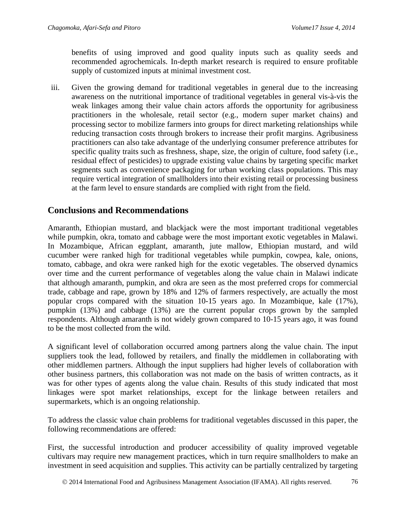benefits of using improved and good quality inputs such as quality seeds and recommended agrochemicals. In-depth market research is required to ensure profitable supply of customized inputs at minimal investment cost.

iii. Given the growing demand for traditional vegetables in general due to the increasing awareness on the nutritional importance of traditional vegetables in general vis-à-vis the weak linkages among their value chain actors affords the opportunity for agribusiness practitioners in the wholesale, retail sector (e.g., modern super market chains) and processing sector to mobilize farmers into groups for direct marketing relationships while reducing transaction costs through brokers to increase their profit margins. Agribusiness practitioners can also take advantage of the underlying consumer preference attributes for specific quality traits such as freshness, shape, size, the origin of culture, food safety (i.e., residual effect of pesticides) to upgrade existing value chains by targeting specific market segments such as convenience packaging for urban working class populations. This may require vertical integration of smallholders into their existing retail or processing business at the farm level to ensure standards are complied with right from the field.

## **Conclusions and Recommendations**

Amaranth, Ethiopian mustard, and blackjack were the most important traditional vegetables while pumpkin, okra, tomato and cabbage were the most important exotic vegetables in Malawi. In Mozambique, African eggplant, amaranth, jute mallow, Ethiopian mustard, and wild cucumber were ranked high for traditional vegetables while pumpkin, cowpea, kale, onions, tomato, cabbage, and okra were ranked high for the exotic vegetables. The observed dynamics over time and the current performance of vegetables along the value chain in Malawi indicate that although amaranth, pumpkin, and okra are seen as the most preferred crops for commercial trade, cabbage and rape, grown by 18% and 12% of farmers respectively, are actually the most popular crops compared with the situation 10-15 years ago. In Mozambique, kale (17%), pumpkin (13%) and cabbage (13%) are the current popular crops grown by the sampled respondents. Although amaranth is not widely grown compared to 10-15 years ago, it was found to be the most collected from the wild.

A significant level of collaboration occurred among partners along the value chain. The input suppliers took the lead, followed by retailers, and finally the middlemen in collaborating with other middlemen partners. Although the input suppliers had higher levels of collaboration with other business partners, this collaboration was not made on the basis of written contracts, as it was for other types of agents along the value chain. Results of this study indicated that most linkages were spot market relationships, except for the linkage between retailers and supermarkets, which is an ongoing relationship.

To address the classic value chain problems for traditional vegetables discussed in this paper, the following recommendations are offered:

First, the successful introduction and producer accessibility of quality improved vegetable cultivars may require new management practices, which in turn require smallholders to make an investment in seed acquisition and supplies. This activity can be partially centralized by targeting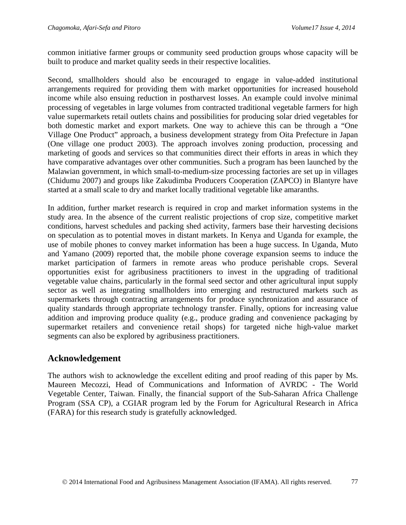common initiative farmer groups or community seed production groups whose capacity will be built to produce and market quality seeds in their respective localities.

Second, smallholders should also be encouraged to engage in value-added institutional arrangements required for providing them with market opportunities for increased household income while also ensuing reduction in postharvest losses. An example could involve minimal processing of vegetables in large volumes from contracted traditional vegetable farmers for high value supermarkets retail outlets chains and possibilities for producing solar dried vegetables for both domestic market and export markets. One way to achieve this can be through a "One Village One Product" approach, a business development strategy from Oita Prefecture in Japan (One village one product 2003). The approach involves zoning production, processing and marketing of goods and services so that communities direct their efforts in areas in which they have comparative advantages over other communities. Such a program has been launched by the Malawian government, in which small-to-medium-size processing factories are set up in villages (Chidumu 2007) and groups like Zakudimba Producers Cooperation (ZAPCO) in Blantyre have started at a small scale to dry and market locally traditional vegetable like amaranths.

In addition, further market research is required in crop and market information systems in the study area. In the absence of the current realistic projections of crop size, competitive market conditions, harvest schedules and packing shed activity, farmers base their harvesting decisions on speculation as to potential moves in distant markets. In Kenya and Uganda for example, the use of mobile phones to convey market information has been a huge success. In Uganda, Muto and Yamano (2009) reported that, the mobile phone coverage expansion seems to induce the market participation of farmers in remote areas who produce perishable crops. Several opportunities exist for agribusiness practitioners to invest in the upgrading of traditional vegetable value chains, particularly in the formal seed sector and other agricultural input supply sector as well as integrating smallholders into emerging and restructured markets such as supermarkets through contracting arrangements for produce synchronization and assurance of quality standards through appropriate technology transfer. Finally, options for increasing value addition and improving produce quality (e.g., produce grading and convenience packaging by supermarket retailers and convenience retail shops) for targeted niche high-value market segments can also be explored by agribusiness practitioners.

## **Acknowledgement**

The authors wish to acknowledge the excellent editing and proof reading of this paper by Ms. Maureen Mecozzi, Head of Communications and Information of AVRDC - The World Vegetable Center, Taiwan. Finally, the financial support of the Sub-Saharan Africa Challenge Program (SSA CP), a CGIAR program led by the Forum for Agricultural Research in Africa (FARA) for this research study is gratefully acknowledged.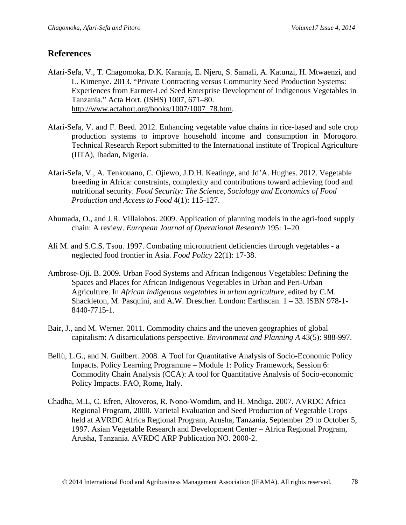## **References**

- Afari-Sefa, V., T. Chagomoka, D.K. Karanja, E. Njeru, S. Samali, A. Katunzi, H. Mtwaenzi, and L. Kimenye. 2013. "Private Contracting versus Community Seed Production Systems: Experiences from Farmer-Led Seed Enterprise Development of Indigenous Vegetables in Tanzania." Acta Hort. (ISHS) 1007, 671–80. [http://www.actahort.org/books/1007/1007\\_78.htm.](http://www.actahort.org/books/1007/1007_78.htm)
- Afari-Sefa, V. and F. Beed. 2012. Enhancing vegetable value chains in rice-based and sole crop production systems to improve household income and consumption in Morogoro. Technical Research Report submitted to the International institute of Tropical Agriculture (IITA), Ibadan, Nigeria.
- Afari-Sefa, V., A. Tenkouano, C. Ojiewo, J.D.H. Keatinge, and Jd'A. Hughes. 2012. Vegetable breeding in Africa: constraints, complexity and contributions toward achieving food and nutritional security. *Food Security: The Science, Sociology and Economics of Food Production and Access to Food* 4(1): 115-127.
- Ahumada, O., and J.R. Villalobos. 2009. Application of planning models in the agri-food supply chain: A review. *European Journal of Operational Research* 195: 1–20
- Ali M. and S.C.S. Tsou. 1997. Combating micronutrient deficiencies through vegetables a neglected food frontier in Asia. *Food Policy* 22(1): 17-38.
- Ambrose-Oji. B. 2009. Urban Food Systems and African Indigenous Vegetables: Defining the Spaces and Places for African Indigenous Vegetables in Urban and Peri-Urban Agriculture. In *African indigenous vegetables in urban agriculture*, edited by C.M. Shackleton, M. Pasquini, and A.W. Drescher. London: Earthscan. 1 – 33. ISBN 978-1- 8440-7715-1.
- Bair, J., and M. Werner. 2011. Commodity chains and the uneven geographies of global capitalism: A disarticulations perspective. *Environment and Planning A* 43(5): 988-997.
- Bellù, L.G., and N. Guilbert. 2008. A Tool for Quantitative Analysis of Socio-Economic Policy Impacts. Policy Learning Programme – Module 1: Policy Framework, Session 6: Commodity Chain Analysis (CCA): A tool for Quantitative Analysis of Socio-economic Policy Impacts. FAO, Rome, Italy.
- Chadha, M.L, C. Efren, Altoveros, R. Nono-Womdim, and H. Mndiga. 2007. AVRDC Africa Regional Program, 2000. Varietal Evaluation and Seed Production of Vegetable Crops held at AVRDC Africa Regional Program, Arusha, Tanzania, September 29 to October 5, 1997. Asian Vegetable Research and Development Center – Africa Regional Program, Arusha, Tanzania. AVRDC ARP Publication NO. 2000-2.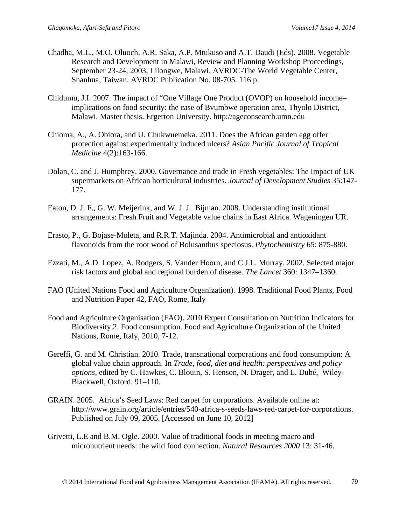- Chadha, M.L., M.O. Oluoch, A.R. Saka, A.P. Mtukuso and A.T. Daudi (Eds). 2008. Vegetable Research and Development in Malawi, Review and Planning Workshop Proceedings, September 23-24, 2003, Lilongwe, Malawi. AVRDC-The World Vegetable Center, Shanhua, Taiwan. AVRDC Publication No. 08-705. 116 p.
- Chidumu, J.I. 2007. The impact of "One Village One Product (OVOP) on household income– implications on food security: the case of Bvumbwe operation area, Thyolo District, Malawi. Master thesis. Ergerton University. http://ageconsearch.umn.edu
- Chioma, A., A. Obiora, and U. Chukwuemeka. 2011. Does the African garden egg offer protection against experimentally induced ulcers? *Asian Pacific Journal of Tropical Medicine* 4(2):163-166.
- Dolan, C. and J. Humphrey. 2000. Governance and trade in Fresh vegetables: The Impact of UK supermarkets on African horticultural industries. *Journal of Development Studies* 35:147- 177.
- Eaton, D. J. F., G. W. Meijerink, and W. J. J. Bijman. 2008. Understanding institutional arrangements: Fresh Fruit and Vegetable value chains in East Africa. Wageningen UR.
- Erasto, P., G. Bojase-Moleta, and R.R.T. Majinda. 2004. Antimicrobial and antioxidant flavonoids from the root wood of Bolusanthus speciosus. *Phytochemistry* 65: 875-880.
- Ezzati, M., A.D. Lopez, A. Rodgers, S. Vander Hoorn, and C.J.L. Murray. 2002. Selected major risk factors and global and regional burden of disease. *The Lancet* 360: 1347–1360.
- FAO (United Nations Food and Agriculture Organization). 1998. Traditional Food Plants, Food and Nutrition Paper 42, FAO, Rome, Italy
- Food and Agriculture Organisation (FAO). 2010 Expert Consultation on Nutrition Indicators for Biodiversity 2. Food consumption. Food and Agriculture Organization of the United Nations, Rome, Italy, 2010, 7-12.
- Gereffi, G. and M. Christian. 2010. Trade, transnational corporations and food consumption: A global value chain approach. In *Trade, food, diet and health: perspectives and policy options,* edited by C. Hawkes, C. Blouin, S. Henson, N. Drager, and L. Dubé, Wiley-Blackwell, Oxford. 91–110.
- GRAIN. 2005. Africa's Seed Laws: Red carpet for corporations. Available online at: http://www.grain.org/article/entries/540-africa-s-seeds-laws-red-carpet-for-corporations. Published on July 09, 2005. [Accessed on June 10, 2012]
- Grivetti, L.E and B.M. Ogle. 2000. Value of traditional foods in meeting macro and micronutrient needs: the wild food connection. *Natural Resources 2000* 13: 31-46.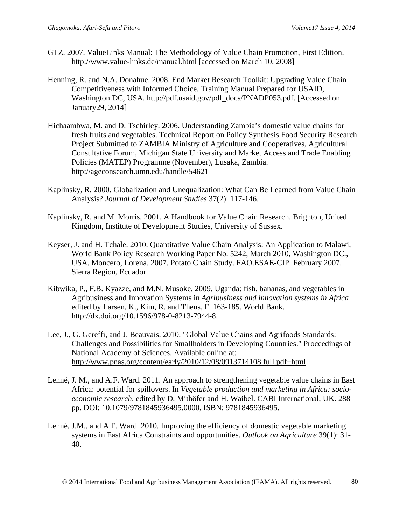- GTZ. 2007. ValueLinks Manual: The Methodology of Value Chain Promotion, First Edition. http://www.value-links.de/manual.html [accessed on March 10, 2008]
- Henning, R. and N.A. Donahue. 2008. End Market Research Toolkit: Upgrading Value Chain Competitiveness with Informed Choice. Training Manual Prepared for USAID, Washington DC, USA. http://pdf.usaid.gov/pdf\_docs/PNADP053.pdf. [Accessed on January29, 2014]
- Hichaambwa, M. and D. Tschirley. 2006. Understanding Zambia's domestic value chains for fresh fruits and vegetables. Technical Report on Policy Synthesis Food Security Research Project Submitted to ZAMBIA Ministry of Agriculture and Cooperatives, Agricultural Consultative Forum, Michigan State University and Market Access and Trade Enabling Policies (MATEP) Programme (November), Lusaka, Zambia. http://ageconsearch.umn.edu/handle/54621
- Kaplinsky, R. 2000. Globalization and Unequalization: What Can Be Learned from Value Chain Analysis? *Journal of Development Studies* 37(2): 117-146.
- Kaplinsky, R. and M. Morris. 2001. A Handbook for Value Chain Research. Brighton, United Kingdom, Institute of Development Studies, University of Sussex.
- Keyser, J. and H. Tchale. 2010. Quantitative Value Chain Analysis: An Application to Malawi, World Bank Policy Research Working Paper No. 5242, March 2010, Washington DC., USA. Moncero, Lorena. 2007. Potato Chain Study. FAO.ESAE-CIP. February 2007. Sierra Region, Ecuador.
- Kibwika, P., F.B. Kyazze, and M.N. Musoke. 2009. Uganda: fish, bananas, and vegetables in Agribusiness and Innovation Systems in *Agribusiness and innovation systems in Africa* edited by Larsen, K., Kim, R. and Theus, F. 163-185. World Bank. http://dx.doi.org/10.1596/978-0-8213-7944-8.
- Lee, J., G. Gereffi, and J. Beauvais. 2010. "Global Value Chains and Agrifoods Standards: Challenges and Possibilities for Smallholders in Developing Countries." Proceedings of National Academy of Sciences. Available online at: <http://www.pnas.org/content/early/2010/12/08/0913714108.full.pdf+html>
- Lenné, J. M., and A.F. Ward. 2011. An approach to strengthening vegetable value chains in East Africa: potential for spillovers. In *Vegetable production and marketing in Africa: socioeconomic research,* edited by D. Mithöfer and H. Waibel. CABI International, UK. 288 pp. DOI: 10.1079/9781845936495.0000, ISBN: 9781845936495.
- Lenné, J.M., and A.F. Ward. 2010. Improving the efficiency of domestic vegetable marketing systems in East Africa Constraints and opportunities. *Outlook on Agriculture* 39(1): 31- 40.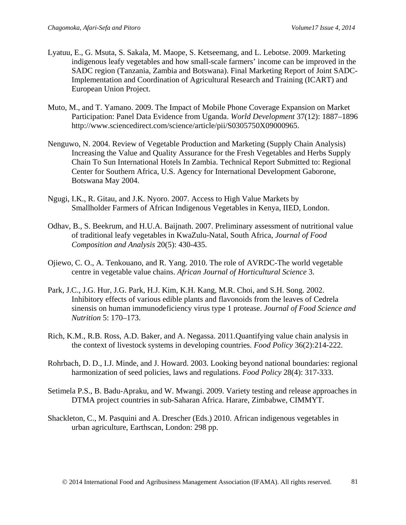- Lyatuu, E., G. Msuta, S. Sakala, M. Maope, S. Ketseemang, and L. Lebotse. 2009. Marketing indigenous leafy vegetables and how small-scale farmers' income can be improved in the SADC region (Tanzania, Zambia and Botswana). Final Marketing Report of Joint SADC-Implementation and Coordination of Agricultural Research and Training (ICART) and European Union Project.
- Muto, M., and T. Yamano. 2009. The Impact of Mobile Phone Coverage Expansion on Market Participation: Panel Data Evidence from Uganda. *World Development* 37(12): 1887–1896 http://www.sciencedirect.com/science/article/pii/S0305750X09000965.
- Nenguwo, N. 2004. Review of Vegetable Production and Marketing (Supply Chain Analysis) Increasing the Value and Quality Assurance for the Fresh Vegetables and Herbs Supply Chain To Sun International Hotels In Zambia. Technical Report Submitted to: Regional Center for Southern Africa, U.S. Agency for International Development Gaborone, Botswana May 2004.
- Ngugi, I.K., R. Gitau, and J.K. Nyoro. 2007. Access to High Value Markets by Smallholder Farmers of African Indigenous Vegetables in Kenya, IIED, London.
- Odhav, B., S. Beekrum, and H.U.A. Baijnath. 2007. Preliminary assessment of nutritional value of traditional leafy vegetables in KwaZulu-Natal, South Africa, *Journal of Food Composition and Analysis* 20(5): 430-435.
- Ojiewo, C. O., A. Tenkouano, and R. Yang. 2010. The role of AVRDC-The world vegetable centre in vegetable value chains. *African Journal of Horticultural Science* 3.
- Park, J.C., J.G. Hur, J.G. Park, H.J. Kim, K.H. Kang, M.R. Choi, and S.H. Song. 2002. Inhibitory effects of various edible plants and flavonoids from the leaves of Cedrela sinensis on human immunodeficiency virus type 1 protease. *Journal of Food Science and Nutrition* 5: 170–173.
- Rich, K.M., R.B. Ross, A.D. Baker, and A. Negassa. 2011.Quantifying value chain analysis in the context of livestock systems in developing countries. *Food Policy* 36(2):214-222.
- Rohrbach, D. D., I.J. Minde, and J. Howard. 2003. Looking beyond national boundaries: regional harmonization of seed policies, laws and regulations. *Food Policy* 28(4): 317-333.
- Setimela P.S., B. Badu-Apraku, and W. Mwangi. 2009. Variety testing and release approaches in DTMA project countries in sub-Saharan Africa. Harare, Zimbabwe, CIMMYT.
- Shackleton, C., M. Pasquini and A. Drescher (Eds.) 2010. African indigenous vegetables in urban agriculture, Earthscan, London: 298 pp.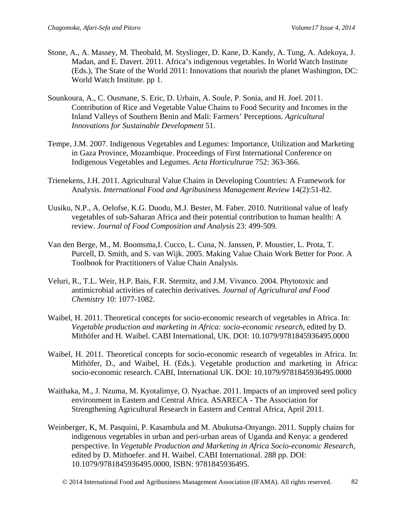- Stone, A., A. Massey, M. Theobald, M. Styslinger, D. Kane, D. Kandy, A. Tung, A. Adekoya, J. Madan, and E. Davert. 2011. Africa's indigenous vegetables. In World Watch Institute (Eds.), The State of the World 2011: Innovations that nourish the planet Washington, DC: World Watch Institute. pp 1.
- Sounkoura, A., C. Ousmane, S. Eric, D. Urbain, A. Soule, P. Sonia, and H. Joel. 2011. Contribution of Rice and Vegetable Value Chains to Food Security and Incomes in the Inland Valleys of Southern Benin and Mali: Farmers' Perceptions. *Agricultural Innovations for Sustainable Development* 51.
- Tempe, J.M. 2007. Indigenous Vegetables and Legumes: Importance, Utilization and Marketing in Gaza Province, Mozambique. Proceedings of First International Conference on Indigenous Vegetables and Legumes. *Acta Horticulturae* 752: 363-366.
- Trienekens, J.H. 2011. Agricultural Value Chains in Developing Countries: A Framework for Analysis. *International Food and Agribusiness Management Review* 14(2):51-82.
- Uusiku, N.P., A. Oelofse, K.G. Duodu, M.J. Bester, M. Faber. 2010. Nutritional value of leafy vegetables of sub-Saharan Africa and their potential contribution to human health: A review. *Journal of Food Composition and Analysis* 23: 499-509.
- Van den Berge, M., M. Boomsma,I. Cucco, L. Cuna, N. Janssen, P. Moustier, L. Prota, T. Purcell, D. Smith, and S. van Wijk. 2005. Making Value Chain Work Better for Poor. A Toolbook for Practitioners of Value Chain Analysis.
- Veluri, R., T.L. Weir, H.P. Bais, F.R. Stermitz, and J.M. Vivanco. 2004. Phytotoxic and antimicrobial activities of catechin derivatives. *Journal of Agricultural and Food Chemistry* 10: 1077-1082.
- Waibel, H. 2011. Theoretical concepts for socio-economic research of vegetables in Africa. In: *Vegetable production and marketing in Africa: socio-economic research*, edited by D. Mithöfer and H. Waibel. CABI International, UK. DOI: 10.1079/9781845936495.0000
- Waibel, H. 2011. Theoretical concepts for socio-economic research of vegetables in Africa. In: Mithöfer, D., and Waibel, H. (Eds.). Vegetable production and marketing in Africa: socio-economic research. CABI, International UK. DOI: 10.1079/9781845936495.0000
- Waithaka, M., J. Nzuma, M. Kyotalimye, O. Nyachae. 2011. Impacts of an improved seed policy environment in Eastern and Central Africa. ASARECA - The Association for Strengthening Agricultural Research in Eastern and Central Africa, April 2011.
- Weinberger, K, M. Pasquini, P. Kasambula and M. Abukutsa-Onyango. 2011. Supply chains for indigenous vegetables in urban and peri-urban areas of Uganda and Kenya: a gendered perspective. In *Vegetable Production and Marketing in Africa Socio-economic Research,* edited by D. Mithoefer. and H. Waibel. CABI International. 288 pp. DOI: 10.1079/9781845936495.0000, ISBN: 9781845936495.
	- © 2014 International Food and Agribusiness Management Association (IFAMA). All rights reserved. 82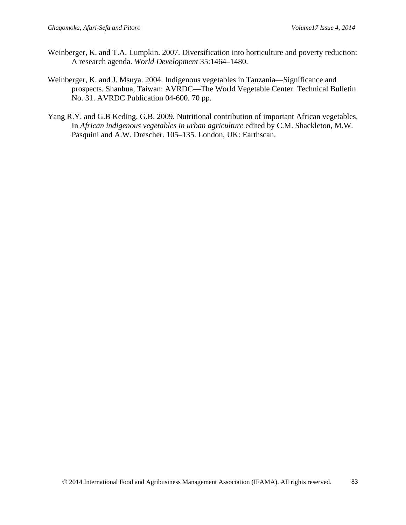- Weinberger, K. and T.A. Lumpkin. 2007. Diversification into horticulture and poverty reduction: A research agenda. *World Development* 35:1464–1480.
- Weinberger, K. and J. Msuya. 2004. Indigenous vegetables in Tanzania—Significance and prospects. Shanhua, Taiwan: AVRDC—The World Vegetable Center. Technical Bulletin No. 31. AVRDC Publication 04-600. 70 pp.
- Yang R.Y. and G.B Keding, G.B. 2009. Nutritional contribution of important African vegetables, In *African indigenous vegetables in urban agriculture* edited by C.M. Shackleton, M.W. Pasquini and A.W. Drescher. 105–135. London, UK: Earthscan.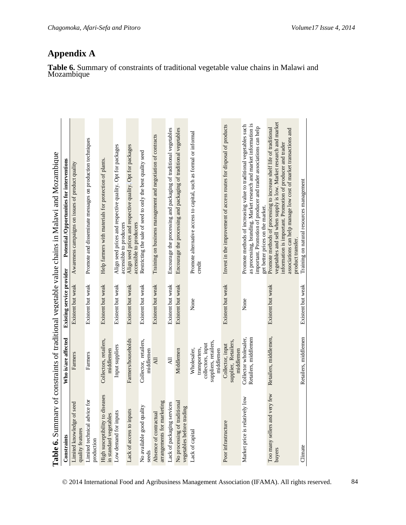|                                                           |                                                                                         | <b>Existing service provider</b> |                                                                                                                                                                                                                                                                                                  |
|-----------------------------------------------------------|-----------------------------------------------------------------------------------------|----------------------------------|--------------------------------------------------------------------------------------------------------------------------------------------------------------------------------------------------------------------------------------------------------------------------------------------------|
| of seed<br>Limited knowledge<br>quality features          | Farmers                                                                                 | Existent but weak                | Awareness campaigns on issues of product quality                                                                                                                                                                                                                                                 |
| Limited technical advice for<br>production                | Farmers                                                                                 | Existent but weak                | Promote and disseminate messages on production techniques                                                                                                                                                                                                                                        |
| High susceptibility to diseases<br>in standard vegetables | Collectors, retailers,<br>middlemen                                                     | Existent but weak                | Help farmers with materials for protection of plants                                                                                                                                                                                                                                             |
| Low demand for inputs                                     | Input suppliers                                                                         | Existent but weak                | Align seed prices and respective quality. Opt for packages<br>accessible to producers                                                                                                                                                                                                            |
| Lack of access to inputs                                  | Farmers/households                                                                      | Existent but weak                | Align seed prices and respective quality. Opt for packages<br>accessible to producers                                                                                                                                                                                                            |
| No available good quality<br>seeds                        | Collector, retailers,<br>middlemen                                                      | Existent but weak                | Restricting the sale of seed to only the best quality seed                                                                                                                                                                                                                                       |
| arrangements for marketing<br>ನ<br>Absence of contractu   | $\overline{AB}$                                                                         | Existent but weak                | Training on business management and negotiation of contracts                                                                                                                                                                                                                                     |
| Lack of packaging services                                | $\overline{AB}$                                                                         | Existent but weak                | Encourage the processing and packaging of traditional vegetables                                                                                                                                                                                                                                 |
| No processing of traditional<br>vegetables before trading | Middlemen                                                                               | Existent but weak                | Encourage the processing and packaging of traditional vegetables                                                                                                                                                                                                                                 |
| Lack of capital                                           | suppliers, retailers,<br>collectors, input<br>transporters,<br>middlemen<br>Wholesaler, | None                             | Promote alternative access to capital, such as formal or informal<br>credit                                                                                                                                                                                                                      |
| Poor infrastructure                                       | supplier, Retailers,<br>Collector, input<br>middlemen                                   | Existent but weak                | Invest in the improvement of access routes for disposal of products                                                                                                                                                                                                                              |
| vely low<br>Market price is relativ                       | Collector wholesaler,<br>Retailers, middlemen                                           | None                             | as processing, branding. Market research and market information is<br>Promote methods of increasing value to traditional vegetables such<br>important. Promotion of producer and trader associations can help<br>get better prices on the market.                                                |
| very few<br>Too many sellers and<br>buyers                | Retailers, middlemen,                                                                   | Existent but weak                | vegetables and sell when supply is low. Market research and market<br>Promote methods of processing to increase shelf life of traditional<br>associations can help manage low cost of market transactions and<br>information is important. Promotion of producer and trader<br>product transfer. |
| Climate                                                   | Retailers, middlemen                                                                    | Existent but weak                | Training on natural resources management                                                                                                                                                                                                                                                         |

# **Table 6.** Summary of constraints of traditional vegetable value chains in Malawi and Mozambique

**Appendix A**